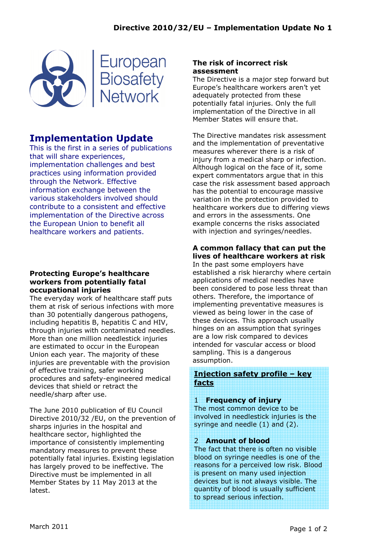

# Implementation Update

This is the first in a series of publications that will share experiences, implementation challenges and best practices using information provided through the Network. Effective information exchange between the various stakeholders involved should contribute to a consistent and effective implementation of the Directive across the European Union to benefit all healthcare workers and patients.

#### Protecting Europe's healthcare workers from potentially fatal occupational injuries

The everyday work of healthcare staff puts them at risk of serious infections with more than 30 potentially dangerous pathogens, including hepatitis B, hepatitis C and HIV, through injuries with contaminated needles. More than one million needlestick injuries are estimated to occur in the European Union each year. The majority of these injuries are preventable with the provision of effective training, safer working procedures and safety-engineered medical devices that shield or retract the needle/sharp after use.

The June 2010 publication of EU Council Directive 2010/32 /EU, on the prevention of sharps injuries in the hospital and healthcare sector, highlighted the importance of consistently implementing mandatory measures to prevent these potentially fatal injuries. Existing legislation has largely proved to be ineffective. The Directive must be implemented in all Member States by 11 May 2013 at the latest.

### The risk of incorrect risk assessment

The Directive is a major step forward but Europe's healthcare workers aren't yet adequately protected from these potentially fatal injuries. Only the full implementation of the Directive in all Member States will ensure that.

The Directive mandates risk assessment and the implementation of preventative measures wherever there is a risk of injury from a medical sharp or infection. Although logical on the face of it, some expert commentators argue that in this case the risk assessment based approach has the potential to encourage massive variation in the protection provided to healthcare workers due to differing views and errors in the assessments. One example concerns the risks associated with injection and syringes/needles.

## A common fallacy that can put the lives of healthcare workers at risk

In the past some employers have established a risk hierarchy where certain applications of medical needles have been considered to pose less threat than others. Therefore, the importance of implementing preventative measures is viewed as being lower in the case of these devices. This approach usually hinges on an assumption that syringes are a low risk compared to devices intended for vascular access or blood sampling. This is a dangerous assumption.

## Injection safety profile – key facts

### 1 Frequency of injury

The most common device to be involved in needlestick injuries is the syringe and needle (1) and (2).

## 2 Amount of blood

The fact that there is often no visible blood on syringe needles is one of the reasons for a perceived low risk. Blood is present on many used injection devices but is not always visible. The quantity of blood is usually sufficient to spread serious infection.